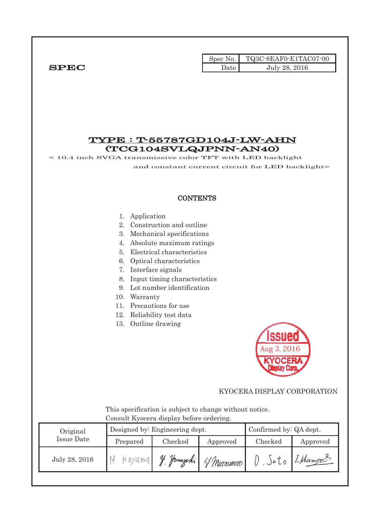|              |      | $\text{Spec No.}$ $\blacksquare$ TQ3C-8EAF0-E1TAC07-00 |
|--------------|------|--------------------------------------------------------|
| ${\bf SPEC}$ | Date | July 28, 2016                                          |

## TYPE : T-55787GD104J-LW-AHN (TCG104SVLQJPNN-AN40)

< 10.4 inch SVGA transmissive color TFT with LED backlight

and constant current circuit for LED backlight>

#### **CONTENTS**

#### 1. Application

- 2. Construction and outline
- 3. Mechanical specifications
- 4. Absolute maximum ratings
- 5. Electrical characteristics
- 6. Optical characteristics
- 7. Interface signals
- 8. Input timing characteristics
- 9. Lot number identification
- 10. Warranty
- 11. Precautions for use
- 12. Reliability test data
- 13. Outline drawing



#### KYOCERA DISPLAY CORPORATION

 This specification is subject to change without notice. Consult Kyocera display before ordering.

| Original      |          | Designed by: Engineering dept. | Confirmed by: QA dept. |         |          |
|---------------|----------|--------------------------------|------------------------|---------|----------|
| Issue Date    | Prepared | Checked<br>Approved            |                        | Checked | Approved |
| July 28, 2016 |          | <u> Hamasahi</u><br>$\eta_L$   | 4 Matsumoto            | Jətə    | 1-Hamou  |
|               |          |                                |                        |         |          |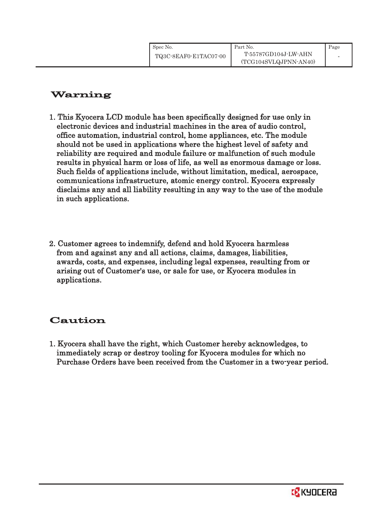# Warning

- 1. This Kyocera LCD module has been specifically designed for use only in electronic devices and industrial machines in the area of audio control, office automation, industrial control, home appliances, etc. The module should not be used in applications where the highest level of safety and reliability are required and module failure or malfunction of such module results in physical harm or loss of life, as well as enormous damage or loss. Such fields of applications include, without limitation, medical, aerospace, communications infrastructure, atomic energy control. Kyocera expressly disclaims any and all liability resulting in any way to the use of the module in such applications.
- 2. Customer agrees to indemnify, defend and hold Kyocera harmless from and against any and all actions, claims, damages, liabilities, awards, costs, and expenses, including legal expenses, resulting from or arising out of Customer's use, or sale for use, or Kyocera modules in applications.

# Caution

1. Kyocera shall have the right, which Customer hereby acknowledges, to immediately scrap or destroy tooling for Kyocera modules for which no Purchase Orders have been received from the Customer in a two-year period.

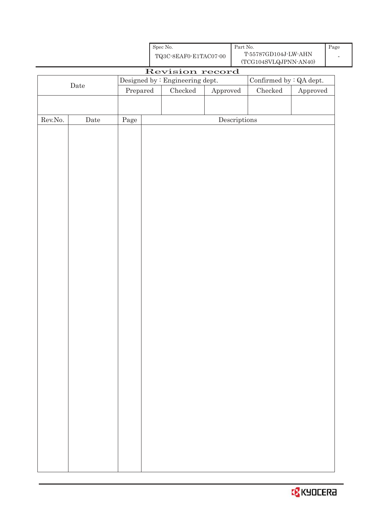|                  |                      |            | Spec No.<br>${\bf TQ3C\text{-}8EAF0\text{-}E1TACO7\text{-}00}$ |                                 |          | Part No.                             | T-55787GD104J-LW-AHN<br>$(\mathrm{TCG104SVLQJPNN\text{-}AN40})$ |          | Page |
|------------------|----------------------|------------|----------------------------------------------------------------|---------------------------------|----------|--------------------------------------|-----------------------------------------------------------------|----------|------|
|                  |                      |            |                                                                | Revision record                 |          |                                      |                                                                 |          |      |
|                  |                      |            |                                                                | Designed by : Engineering dept. |          |                                      | Confirmed by : QA dept.                                         |          |      |
|                  | $\rm{\textbf{Date}}$ | Prepared   |                                                                | Checked                         | Approved |                                      | Checked                                                         | Approved |      |
|                  |                      |            |                                                                |                                 |          |                                      |                                                                 |          |      |
|                  |                      |            |                                                                |                                 |          |                                      |                                                                 |          |      |
| ${\rm Rev. No.}$ | $\rm{\textbf{Date}}$ | $\rm Page$ |                                                                |                                 |          | $\label{eq:2} \textbf{Descriptions}$ |                                                                 |          |      |
|                  |                      |            |                                                                |                                 |          |                                      |                                                                 |          |      |
|                  |                      |            |                                                                |                                 |          |                                      |                                                                 |          |      |
|                  |                      |            |                                                                |                                 |          |                                      |                                                                 |          |      |
|                  |                      |            |                                                                |                                 |          |                                      |                                                                 |          |      |
|                  |                      |            |                                                                |                                 |          |                                      |                                                                 |          |      |
|                  |                      |            |                                                                |                                 |          |                                      |                                                                 |          |      |
|                  |                      |            |                                                                |                                 |          |                                      |                                                                 |          |      |
|                  |                      |            |                                                                |                                 |          |                                      |                                                                 |          |      |
|                  |                      |            |                                                                |                                 |          |                                      |                                                                 |          |      |
|                  |                      |            |                                                                |                                 |          |                                      |                                                                 |          |      |
|                  |                      |            |                                                                |                                 |          |                                      |                                                                 |          |      |
|                  |                      |            |                                                                |                                 |          |                                      |                                                                 |          |      |
|                  |                      |            |                                                                |                                 |          |                                      |                                                                 |          |      |
|                  |                      |            |                                                                |                                 |          |                                      |                                                                 |          |      |
|                  |                      |            |                                                                |                                 |          |                                      |                                                                 |          |      |
|                  |                      |            |                                                                |                                 |          |                                      |                                                                 |          |      |
|                  |                      |            |                                                                |                                 |          |                                      |                                                                 |          |      |
|                  |                      |            |                                                                |                                 |          |                                      |                                                                 |          |      |
|                  |                      |            |                                                                |                                 |          |                                      |                                                                 |          |      |
|                  |                      |            |                                                                |                                 |          |                                      |                                                                 |          |      |
|                  |                      |            |                                                                |                                 |          |                                      |                                                                 |          |      |
|                  |                      |            |                                                                |                                 |          |                                      |                                                                 |          |      |
|                  |                      |            |                                                                |                                 |          |                                      |                                                                 |          |      |
|                  |                      |            |                                                                |                                 |          |                                      |                                                                 |          |      |
|                  |                      |            |                                                                |                                 |          |                                      |                                                                 |          |      |
|                  |                      |            |                                                                |                                 |          |                                      |                                                                 |          |      |
|                  |                      |            |                                                                |                                 |          |                                      |                                                                 |          |      |
|                  |                      |            |                                                                |                                 |          |                                      |                                                                 |          |      |
|                  |                      |            |                                                                |                                 |          |                                      |                                                                 |          |      |
|                  |                      |            |                                                                |                                 |          |                                      |                                                                 |          |      |
|                  |                      |            |                                                                |                                 |          |                                      |                                                                 |          |      |
|                  |                      |            |                                                                |                                 |          |                                      |                                                                 |          |      |
|                  |                      |            |                                                                |                                 |          |                                      |                                                                 |          |      |
|                  |                      |            |                                                                |                                 |          |                                      |                                                                 |          |      |
|                  |                      |            |                                                                |                                 |          |                                      |                                                                 |          |      |
|                  |                      |            |                                                                |                                 |          |                                      |                                                                 |          |      |
|                  |                      |            |                                                                |                                 |          |                                      |                                                                 |          |      |

**B** KYOCERA

Page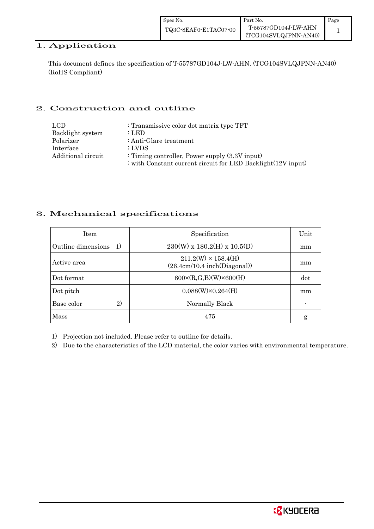### 1. Application

This document defines the specification of T-55787GD104J-LW-AHN. (TCG104SVLQJPNN-AN40) (RoHS Compliant)

## 2. Construction and outline

| LCD                | : Transmissive color dot matrix type TFT                     |
|--------------------|--------------------------------------------------------------|
| Backlight system   | : LED                                                        |
| Polarizer          | : Anti-Glare treatment                                       |
| Interface          | : LVDS                                                       |
| Additional circuit | : Timing controller, Power supply $(3.3V)$ input)            |
|                    | : with Constant current circuit for LED Backlight(12V input) |

### 3. Mechanical specifications

| <b>Item</b>                        | Specification                                              | Unit |
|------------------------------------|------------------------------------------------------------|------|
| Outline dimensions<br><sup>1</sup> | $230(W)$ x $180.2(H)$ x $10.5(D)$                          | mm   |
| Active area                        | $211.2(W) \times 158.4(H)$<br>(26.4cm/10.4 inch(Diagonal)) | mm   |
| Dot format                         | $800 \times (R, G, B)(W) \times 600(H)$                    | dot  |
| Dot pitch                          | $0.088(W)\times0.264(H)$                                   | mm   |
| 2)<br>Base color                   | Normally Black                                             |      |
| Mass                               | 475                                                        | g    |

1) Projection not included. Please refer to outline for details.

2) Due to the characteristics of the LCD material, the color varies with environmental temperature.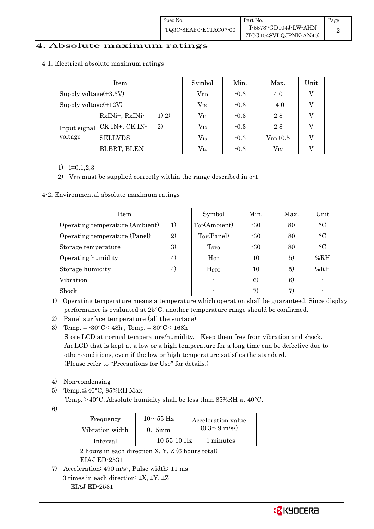| Spec No.              | Part No.                                      | Page |
|-----------------------|-----------------------------------------------|------|
| TQ3C-8EAF0-E1TAC07-00 | T-55787GD104J-LW-AHN<br>(TCG104SVLQJPNN-AN40) |      |

#### 4. Absolute maximum ratings

|  | 4-1. Electrical absolute maximum ratings |  |
|--|------------------------------------------|--|
|  |                                          |  |

|                          | Item                           | Symbol       | Min.   | Max.         | Unit |
|--------------------------|--------------------------------|--------------|--------|--------------|------|
| Supply voltage $(+3.3V)$ |                                | $\rm V_{DD}$ | $-0.3$ | 4.0          |      |
| Supply voltage $(+12V)$  |                                | $V_{IN}$     | $-0.3$ | 14.0         |      |
| Input signal<br>voltage  | 1) 2)<br>RxINi+, RxINi-        | $\rm V_{I1}$ | $-0.3$ | 2.8          |      |
|                          | $\mathbf{2}$<br>CK IN+, CK IN- | $\rm V_{I2}$ | $-0.3$ | 2.8          |      |
|                          | <b>SELLVDS</b>                 | $\rm V_{I3}$ | $-0.3$ | $V_{DD}+0.5$ |      |
|                          | <b>BLBRT, BLEN</b>             | $\rm V_{I4}$ | $-0.3$ | $\rm V_{IN}$ |      |

1) i=0,1,2,3

2) V<sub>DD</sub> must be supplied correctly within the range described in  $5$ -1.

4-2. Environmental absolute maximum ratings

| Item                            | Symbol            | Min.                    | Max.       | Unit |             |
|---------------------------------|-------------------|-------------------------|------------|------|-------------|
| Operating temperature (Ambient) | 1)                | Top(Ambient)            | $-30$      | 80   | $\circ$ C   |
| Operating temperature (Panel)   | 2)                | Top(Panel)              | $-30$      | 80   | $\circ$ C   |
| Storage temperature             | 3)                | T <sub>STO</sub>        | $-30$      | 80   | $^{\circ}C$ |
| Operating humidity              | $\left( 4\right)$ | $H_{OP}$                | 10         | 5)   | %RH         |
| Storage humidity                | 4)                | <b>H</b> <sub>sto</sub> | 10         | 5)   | %RH         |
| Vibration                       |                   |                         | $\epsilon$ | 6)   |             |
| Shock                           |                   |                         | 7)         | 7)   |             |

1) Operating temperature means a temperature which operation shall be guaranteed. Since display performance is evaluated at 25°C, another temperature range should be confirmed.

2) Panel surface temperature (all the surface)

3) Temp. =  $-30^{\circ}$ C $<$ 48h, Temp. =  $80^{\circ}$ C $<$ 168h

 Store LCD at normal temperature/humidity. Keep them free from vibration and shock. An LCD that is kept at a low or a high temperature for a long time can be defective due to other conditions, even if the low or high temperature satisfies the standard. (Please refer to "Precautions for Use" for details.)

- 4) Non-condensing
- 5) Temp. $\leq 40^{\circ}$ C, 85%RH Max. Temp. >40°C, Absolute humidity shall be less than 85%RH at 40°C.
- 6)

| Frequency       | $10\sim$ 55 Hz    | Acceleration value         |
|-----------------|-------------------|----------------------------|
| Vibration width | $0.15$ mm         | $(0.3{\sim}9~{\rm m/s^2})$ |
| Interval        | $10 - 55 - 10$ Hz | 1 minutes                  |
|                 |                   |                            |

 2 hours in each direction X, Y, Z (6 hours total) EIAJ ED-2531

7) Acceleration: 490 m/s2, Pulse width: 11 ms 3 times in each direction:  $\pm X$ ,  $\pm Y$ ,  $\pm Z$ EIAJ ED-2531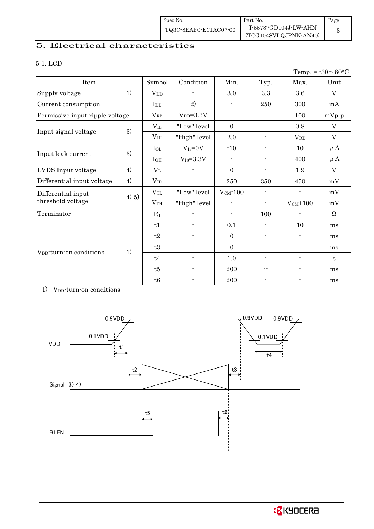| Spec No.              | Part No.                                      | Page |
|-----------------------|-----------------------------------------------|------|
| TQ3C-8EAF0-E1TAC07-00 | T-55787GD104J-LW-AHN<br>(TCG104SVLQJPNN-AN40) |      |

## 5. Electrical characteristics

#### 5-1. LCD

| Temp. = $-30 \sim 80$ °C            |       |                                  |                          |                          |                            |                          |              |
|-------------------------------------|-------|----------------------------------|--------------------------|--------------------------|----------------------------|--------------------------|--------------|
| Item                                |       | Symbol                           | Condition                | Min.                     | Typ.                       | Max.                     | Unit         |
| Supply voltage                      | 1)    | $V_{DD}$                         |                          | 3.0                      | $\!.3$                     | 3.6                      | $\rm V$      |
| Current consumption                 |       | $\mathop{\mathrm{Ind}}\nolimits$ | 2)                       | $\overline{\phantom{a}}$ | 250                        | 300                      | mA           |
| Permissive input ripple voltage     |       | $V_{RP}$                         | $V_{DD} = 3.3V$          | $\overline{\phantom{a}}$ | $\overline{\phantom{a}}$   | 100                      | $mVp-p$      |
|                                     |       | $V_{IL}$                         | "Low" level              | $\mathbf{0}$             | $\overline{\phantom{a}}$   | 0.8                      | V            |
| Input signal voltage                | 3)    | V <sub>IH</sub>                  | "High" level             | $2.0\,$                  | $\blacksquare$             | $V_{DD}$                 | $\rm V$      |
|                                     |       | $_{\rm IoL}$                     | $V_{I3}=0V$              | $-10$                    | $\overline{a}$             | 10                       | $\mu$ A      |
| Input leak current                  | 3)    | $I_{OH}$                         | $V_{I3} = 3.3V$          | $\overline{\phantom{a}}$ | $\blacksquare$             | 400                      | $\mu$ A      |
| LVDS Input voltage                  | 4)    | $V_{L}$                          |                          | $\Omega$                 | $\overline{\phantom{a}}$   | 1.9                      | $\rm V$      |
| Differential input voltage          | 4)    | $V_{ID}$                         |                          | 250                      | 350                        | 450                      | mV           |
| Differential input                  | 4) 5) | $\rm V_{TL}$                     | "Low" level              | $V_{CM}$ -100            | $\blacksquare$             | $\blacksquare$           | mV           |
| threshold voltage                   |       | VTH                              | "High" level             | $\overline{\phantom{a}}$ | $\overline{\phantom{a}}$   | $V_{CM}$ +100            | mV           |
| Terminator                          |       | $R_1$                            |                          | $\overline{\phantom{a}}$ | 100                        | $\blacksquare$           | $\Omega$     |
|                                     |       | t1                               |                          | 0.1                      | $\blacksquare$             | 10                       | ms           |
|                                     |       | t2                               |                          | $\boldsymbol{0}$         | $\overline{\phantom{a}}$   | $\blacksquare$           | ms           |
|                                     |       | $\ensuremath{\mathrm{t3}}$       | $\blacksquare$           | $\boldsymbol{0}$         | $\overline{\phantom{a}}$   | $\overline{\phantom{a}}$ | ms           |
| V <sub>DD</sub> -turn-on conditions | 1)    | t4                               |                          | 1.0                      | $\blacksquare$             | $\overline{\phantom{a}}$ | $\mathbf{s}$ |
|                                     |       | t5                               | $\overline{\phantom{a}}$ | 200                      | $\overline{\phantom{a}}$ . | $\overline{\phantom{a}}$ | ms           |
|                                     |       | $\ensuremath{\mathsf{t}} 6$      |                          | 200                      |                            |                          | ms           |

1) V<sub>DD</sub>-turn-on conditions

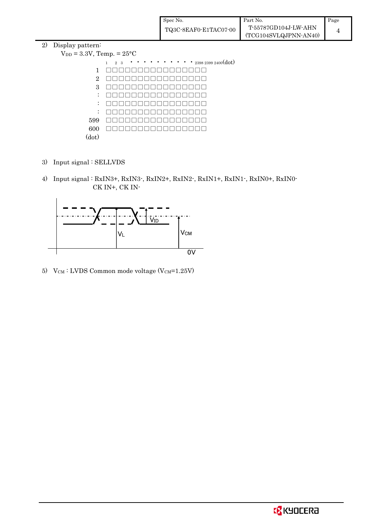| Spec No.              | Part No.                                      | Page |
|-----------------------|-----------------------------------------------|------|
| TQ3C-8EAF0-E1TAC07-00 | T-55787GD104J-LW-AHN<br>(TCG104SVLQJPNN-AN40) |      |

#### 2) Display pattern:

| $V_{DD} = 3.3V$ , Temp. = $25^{\circ}$ C                                                                                                                                              |
|---------------------------------------------------------------------------------------------------------------------------------------------------------------------------------------|
| $\cdots$ $\cdots$ $_{2398\ 2399\ 2400} (dot)$<br>$\begin{array}{cccccccccccccc} \bullet & \bullet & \bullet & \bullet & \bullet & \bullet \end{array}$<br>$\mathbf{1}$<br>$2 \quad 3$ |
|                                                                                                                                                                                       |
|                                                                                                                                                                                       |
|                                                                                                                                                                                       |
|                                                                                                                                                                                       |
|                                                                                                                                                                                       |
|                                                                                                                                                                                       |
|                                                                                                                                                                                       |
|                                                                                                                                                                                       |
|                                                                                                                                                                                       |
|                                                                                                                                                                                       |

- 3) Input signal : SELLVDS
- 4) Input signal : RxIN3+, RxIN3-, RxIN2+, RxIN2-, RxIN1+, RxIN1-, RxIN0+, RxIN0- CK IN+, CK IN-



5)  $V_{CM}$ : LVDS Common mode voltage (V $_{CM}$ =1.25V)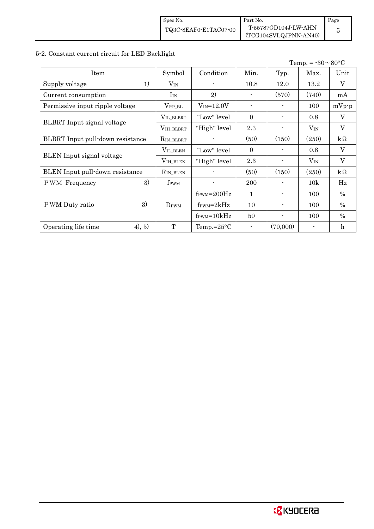| Spec No.              | Part No.                                      | Page |
|-----------------------|-----------------------------------------------|------|
| TQ3C-8EAF0-E1TAC07-00 | T-55787GD104J-LW-AHN<br>(TCG104SVLQJPNN-AN40) |      |

# 5-2. Constant current circuit for LED Backlight

| Temp. = $-30 \sim 80$ °C          |                     |                                  |                |                          |          |                |
|-----------------------------------|---------------------|----------------------------------|----------------|--------------------------|----------|----------------|
| Item                              | Symbol              | Condition                        | Min.           | Typ.                     | Max.     | Unit           |
| 1)<br>Supply voltage              | $V_{\rm IN}$        |                                  | 10.8           | 12.0                     | 13.2     | V              |
| Current consumption               | $I_{IN}$            | 2)                               |                | (570)                    | (740)    | mA             |
| Permissive input ripple voltage   | $V_{RP\_BL}$        | $V_{IN} = 12.0V$                 | $\blacksquare$ |                          | 100      | $mVp-p$        |
|                                   | $V_{\rm IL\_BLBRT}$ | "Low" level                      | $\Omega$       | $\overline{a}$           | 0.8      | V              |
| <b>BLBRT</b> Input signal voltage | VIH_BLBRT           | "High" level                     | 2.3            |                          | $V_{IN}$ | V              |
| BLBRT Input pull-down resistance  | RIN_BLBRT           |                                  | (50)           | (150)                    | (250)    | $k\Omega$      |
|                                   | $V_{\rm IL\_BLEN}$  | "Low" level                      | $\Omega$       |                          | 0.8      | $\overline{V}$ |
| <b>BLEN</b> Input signal voltage  | $V_{\rm IH\_BLEN}$  | "High" level                     | 2.3            | $\overline{a}$           | $V_{IN}$ | V              |
| BLEN Input pull-down resistance   | RIN_BLEN            |                                  | (50)           | (150)                    | (250)    | $k\Omega$      |
| 3)<br><b>PWM</b> Frequency        | f <sub>PWM</sub>    |                                  | 200            |                          | 10k      | Hz             |
|                                   |                     | $f_{\text{PWM}} = 200 \text{Hz}$ | 1              | $\overline{\phantom{a}}$ | 100      | $\%$           |
| 3)<br>P WM Duty ratio             | $D_{\rm PWM}$       | $f_{\rm PWM} = 2kHz$             | 10             |                          | 100      | $\%$           |
|                                   |                     | $f_{\text{PWM}} = 10kHz$         | 50             | $\overline{a}$           | 100      | $\%$           |
| (4), 5)<br>Operating life time    | T                   | Temp.= $25^{\circ}$ C            | $\blacksquare$ | (70,000)                 |          | h              |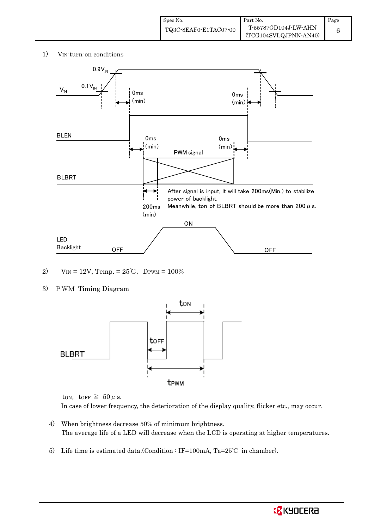1) V<sub>IN</sub>-turn-on conditions



- 2)  $V_{IN} = 12V$ , Temp. =  $25^{\circ}$ C, DPWM = 100%
- 3) PWM Timing Diagram



ton, torr  $\geq 50 \mu$  s.

In case of lower frequency, the deterioration of the display quality, flicker etc., may occur.

- 4) When brightness decrease 50% of minimum brightness. The average life of a LED will decrease when the LCD is operating at higher temperatures.
- 5) Life time is estimated data.(Condition : IF=100mA, Ta=25℃ in chamber).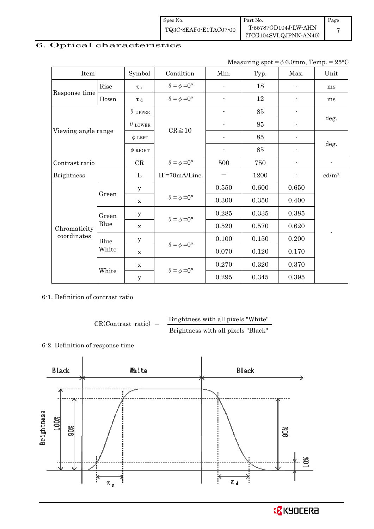| Spec No.              | Part No.              | Page |
|-----------------------|-----------------------|------|
| TQ3C-8EAF0-E1TAC07-00 | T-55787GD104J-LW-AHN  |      |
|                       | (TCG104SVLQJPNN-AN40) |      |

## 6. Optical characteristics

| Measuring spot = $\phi$ 6.0mm, Temp. = 25°C |  |
|---------------------------------------------|--|
|---------------------------------------------|--|

| Item                |       | Symbol         | Condition                   | Min.                     | Typ.  | Max.  | Unit                     |  |
|---------------------|-------|----------------|-----------------------------|--------------------------|-------|-------|--------------------------|--|
|                     | Rise  | $\tau_r$       | $\theta = \phi = 0^{\circ}$ | $\overline{\phantom{a}}$ | 18    |       | ms                       |  |
| Response time       | Down  | $\tau$ d       | $\theta = \phi = 0^{\circ}$ | $\overline{a}$           | 12    |       | ms                       |  |
|                     |       | $\theta$ upper |                             | $\overline{\phantom{0}}$ | 85    |       |                          |  |
|                     |       | $\theta$ LOWER |                             |                          | 85    |       | deg.                     |  |
| Viewing angle range |       | $\phi$ LEFT    | $CR \ge 10$                 | $\overline{\phantom{a}}$ | 85    |       |                          |  |
|                     |       | $\phi$ right   |                             | $\overline{\phantom{a}}$ | 85    |       | deg.                     |  |
| Contrast ratio      |       | CR             | $\theta = \phi = 0^{\circ}$ | 500                      | 750   |       | $\overline{\phantom{0}}$ |  |
| <b>Brightness</b>   |       | L              | IF=70mA/Line                |                          | 1200  |       | cd/m <sup>2</sup>        |  |
|                     | Green | $\mathbf y$    |                             | 0.550                    | 0.600 | 0.650 |                          |  |
|                     |       | $\mathbf X$    | $\theta = \phi = 0^{\circ}$ | 0.300                    | 0.350 | 0.400 |                          |  |
|                     | Green | $\mathbf y$    | $\theta = \phi = 0^{\circ}$ | 0.285                    | 0.335 | 0.385 |                          |  |
| Chromaticity        | Blue  | $\mathbf X$    |                             | 0.520                    | 0.570 | 0.620 | $\overline{\phantom{a}}$ |  |
| coordinates         | Blue  | У              |                             | 0.100                    | 0.150 | 0.200 |                          |  |
|                     | White | $\mathbf X$    | $\theta = \phi = 0^{\circ}$ | 0.070                    | 0.120 | 0.170 |                          |  |
|                     |       | X              | $\theta = \phi = 0^{\circ}$ | 0.270                    | 0.320 | 0.370 |                          |  |
|                     | White | $\mathbf y$    |                             | 0.295                    | 0.345 | 0.395 |                          |  |

6-1. Definition of contrast ratio

 $CR(Contrast ratio) =$  Brightness with all pixels "White" Brightness with all pixels "Black"

## 6-2. Definition of response time

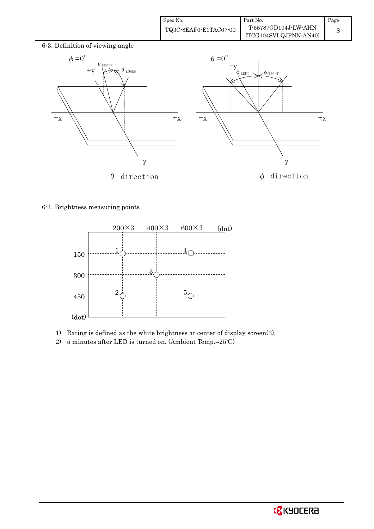| Spec No.              | Part No.                                      | Page |
|-----------------------|-----------------------------------------------|------|
| TQ3C-8EAF0-E1TAC07-00 | T-55787GD104J-LW-AHN<br>(TCG104SVLQJPNN-AN40) |      |





6-4. Brightness measuring points



- 1) Rating is defined as the white brightness at center of display screen(3).
- 2) 5 minutes after LED is turned on. (Ambient Temp.=25℃)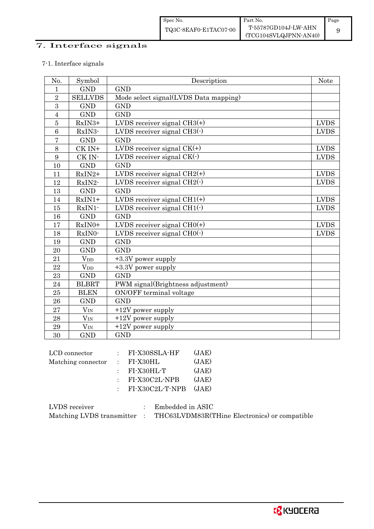# 7. Interface signals

## 7-1. Interface signals

| No.              | Symbol                 | Description                           | <b>Note</b> |
|------------------|------------------------|---------------------------------------|-------------|
| 1                | <b>GND</b>             | <b>GND</b>                            |             |
| $\overline{2}$   | <b>SELLVDS</b>         | Mode select signal(LVDS Data mapping) |             |
| 3                | <b>GND</b>             | <b>GND</b>                            |             |
| $\overline{4}$   | <b>GND</b>             | <b>GND</b>                            |             |
| $\overline{5}$   | RxIN3+                 | LVDS receiver signal $CH3(+)$         | <b>LVDS</b> |
| $\overline{6}$   | RxIN3-                 | LVDS receiver signal $CH3(\cdot)$     | <b>LVDS</b> |
| $\overline{7}$   | <b>GND</b>             | <b>GND</b>                            |             |
| 8                | CK IN+                 | LVDS receiver signal $CK(+)$          | <b>LVDS</b> |
| $\boldsymbol{9}$ | CK IN-                 | LVDS receiver signal $CK(\cdot)$      | <b>LVDS</b> |
| 10               | <b>GND</b>             | <b>GND</b>                            |             |
| 11               | RxIN2+                 | LVDS receiver signal $CH2(+)$         | <b>LVDS</b> |
| 12               | RxIN2-                 | LVDS receiver signal $CH2(\cdot)$     | <b>LVDS</b> |
| 13               | <b>GND</b>             | <b>GND</b>                            |             |
| 14               | $RxIN1+$               | LVDS receiver signal $CH1(+)$         | <b>LVDS</b> |
| 15               | RxIN1-                 | LVDS receiver signal $CH1(\cdot)$     | <b>LVDS</b> |
| 16               | <b>GND</b>             | <b>GND</b>                            |             |
| 17               | RxIN0+                 | LVDS receiver signal $CHO(+)$         | <b>LVDS</b> |
| 18               | RxIN0-                 | LVDS receiver signal $CHO(·)$         | <b>LVDS</b> |
| 19               | <b>GND</b>             | <b>GND</b>                            |             |
| 20               | <b>GND</b>             | <b>GND</b>                            |             |
| 21               | $V_{DD}$               | +3.3V power supply                    |             |
| 22               | <b>V</b> <sub>DD</sub> | +3.3V power supply                    |             |
| 23               | <b>GND</b>             | <b>GND</b>                            |             |
| 24               | <b>BLBRT</b>           | PWM signal(Brightness adjustment)     |             |
| 25               | <b>BLEN</b>            | ON/OFF terminal voltage               |             |
| 26               | <b>GND</b>             | <b>GND</b>                            |             |
| 27               | $V_{\rm IN}$           | $+12V$ power supply                   |             |
| 28               | $V_{IN}$               | $+12V$ power supply                   |             |
| 29               | $V_{IN}$               | $+12V$ power supply                   |             |
| 30               | <b>GND</b>             | <b>GND</b>                            |             |

| LCD connector      | $:$ FI-X30SSLA-HF         | (JAE) |
|--------------------|---------------------------|-------|
| Matching connector | $\pm$ FI-X30HL            | (JAE) |
|                    | $\pm$ FI-X30HL-T          | (JAE) |
|                    | $:$ FI-X30C2L-NPB         | (JAE) |
|                    | $:$ FI-X30C2L-T-NPB (JAE) |       |
|                    |                           |       |

| LVDS receiver             | Embedded in ASIC                              |
|---------------------------|-----------------------------------------------|
| Matching LVDS transmitter | THC63LVDM83R(THine Electronics) or compatible |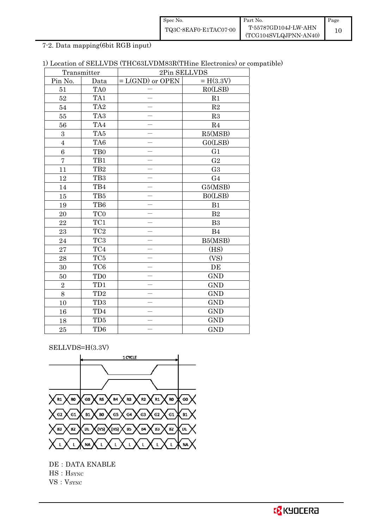| Spec No.              | Part No.              | Page |
|-----------------------|-----------------------|------|
| TQ3C-8EAF0-E1TAC07-00 | T-55787GD104J-LW-AHN  |      |
|                       | (TCG104SVLQJPNN-AN40) |      |

7-2. Data mapping(6bit RGB input)

## 1) Location of SELLVDS (THC63LVDM83R(THine Electronics) or compatible)

|                | Transmitter             | 2Pin SELLVDS                      |                |  |
|----------------|-------------------------|-----------------------------------|----------------|--|
| Pin No.        | Data                    | $= H(3.3V)$<br>$= L(GND)$ or OPEN |                |  |
| 51             | TA0                     |                                   | RO(LSB)        |  |
| 52             | TA1                     |                                   | R1             |  |
| 54             | TA <sub>2</sub>         |                                   | $\mathbf{R}2$  |  |
| 55             | TA <sub>3</sub>         |                                   | R3             |  |
| 56             | TA4                     |                                   | R4             |  |
| 3              | TA5                     |                                   | R5(MSB)        |  |
| $\overline{4}$ | TA6                     |                                   | GO(LSB)        |  |
| 6              | TB <sub>0</sub>         |                                   | G <sub>1</sub> |  |
| $\overline{7}$ | TB1                     |                                   | G <sub>2</sub> |  |
| 11             | TB <sub>2</sub>         |                                   | G <sub>3</sub> |  |
| 12             | TB <sub>3</sub>         |                                   | G <sub>4</sub> |  |
| 14             | TB4                     |                                   | G5(MSB)        |  |
| 15             | TB5                     |                                   | B0(LSB)        |  |
| 19             | TB6                     |                                   | B1             |  |
| 20             | TC <sub>0</sub>         |                                   | $\mathbf{B}2$  |  |
| 22             | TC1                     |                                   | B <sub>3</sub> |  |
| 23             | TC <sub>2</sub>         |                                   | B4             |  |
| 24             | TC <sub>3</sub>         |                                   | B5(MSB)        |  |
| 27             | $\mathrm{T}\mathrm{C}4$ |                                   | (HS)           |  |
| 28             | TC5                     |                                   | (VS)           |  |
| 30             | TC <sub>6</sub>         |                                   | DE             |  |
| 50             | TD <sub>0</sub>         |                                   | <b>GND</b>     |  |
| $\sqrt{2}$     | TD1                     |                                   | <b>GND</b>     |  |
| 8              | TD <sub>2</sub>         |                                   | <b>GND</b>     |  |
| 10             | TD <sub>3</sub>         |                                   | <b>GND</b>     |  |
| 16             | TD4                     |                                   | <b>GND</b>     |  |
| 18             | TD5                     |                                   | <b>GND</b>     |  |
| 25             | TD6                     |                                   | <b>GND</b>     |  |

SELLVDS=H(3.3V)



DE : DATA ENABLE HS:HSYNC VS: V<sub>SYNC</sub>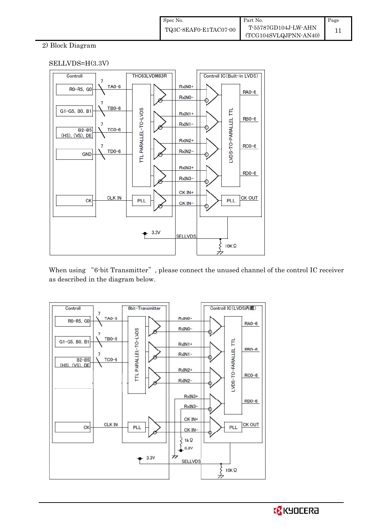### 2) Block Diagram

#### SELLVDS=H(3.3V)



When using "6-bit Transmitter", please connect the unused channel of the control IC receiver as described in the diagram below.

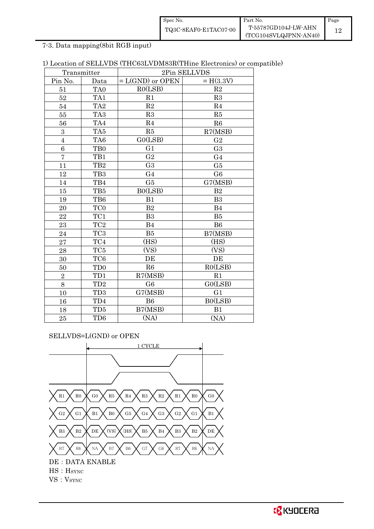| Spec No.              | Part No.              | Page |
|-----------------------|-----------------------|------|
| TQ3C-8EAF0-E1TAC07-00 | T-55787GD104J-LW-AHN  |      |
|                       | (TCG104SVLQJPNN-AN40) |      |

7-3. Data mapping(8bit RGB input)

| 1) Location of SELLVDS (THC63LVDM83R(THine Electronics) or compatible) |  |
|------------------------------------------------------------------------|--|
|------------------------------------------------------------------------|--|

|                | Transmitter     | 2Pin SELLVDS       |                |
|----------------|-----------------|--------------------|----------------|
| Pin No.        | Data            | $= L(GND)$ or OPEN | $= H(3.3V)$    |
| 51             | TA <sub>0</sub> | RO(LSB)            | R2             |
| 52             | TA1             | R1                 | R3             |
| 54             | TA <sub>2</sub> | R2                 | $\mathbf{R}4$  |
| 55             | TA <sub>3</sub> | R3                 | R5             |
| 56             | TA4             | R <sub>4</sub>     | R6             |
| 3              | TA5             | R5                 | R7(MSB)        |
| $\overline{4}$ | TA <sub>6</sub> | GO(LSB)            | G <sub>2</sub> |
| 6              | T <sub>B0</sub> | G <sub>1</sub>     | G <sub>3</sub> |
| $\overline{7}$ | TB1             | $\rm G2$           | G <sub>4</sub> |
| 11             | TB <sub>2</sub> | G <sub>3</sub>     | G5             |
| 12             | TB <sub>3</sub> | G <sub>4</sub>     | G <sub>6</sub> |
| 14             | TB4             | G5                 | G7(MSB)        |
| 15             | TB5             | B0(LSB)            | B <sub>2</sub> |
| 19             | TB6             | B1                 | B <sub>3</sub> |
| 20             | TC <sub>0</sub> | B <sub>2</sub>     | B <sub>4</sub> |
| $\bf{22}$      | TC1             | B <sub>3</sub>     | B5             |
| 23             | TC <sub>2</sub> | B <sub>4</sub>     | B <sub>6</sub> |
| 24             | TC <sub>3</sub> | B5                 | B7(MSB)        |
| 27             | TC4             | (HS)               | (HS)           |
| 28             | TC5             | (VS)               | (VS)           |
| 30             | TC <sub>6</sub> | DE                 | DE             |
| 50             | TD <sub>0</sub> | R6                 | RO(LSB)        |
| $\overline{2}$ | TD1             | R7(MSB)            | R1             |
| 8              | TD <sub>2</sub> | G <sub>6</sub>     | GO(LSB)        |
| 10             | TD <sub>3</sub> | G7(MSB)            | G <sub>1</sub> |
| 16             | TD4             | B6                 | B0(LSB)        |
| 18             | TD5             | B7(MSB)            | B1             |
| 25             | TD <sub>6</sub> | (NA)               | (NA)           |

SELLVDS=L(GND) or OPEN

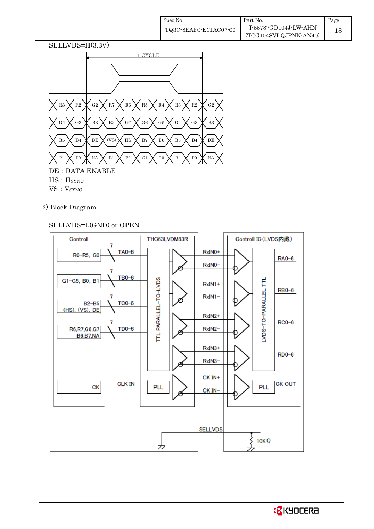| Spec No.              | Part No.              | Page |
|-----------------------|-----------------------|------|
| TQ3C-8EAF0-E1TAC07-00 | T-55787GD104J-LW-AHN  | 13   |
|                       | (TCG104SVLQJPNN-AN40) |      |



2) Block Diagram

### SELLVDS=L(GND) or OPEN

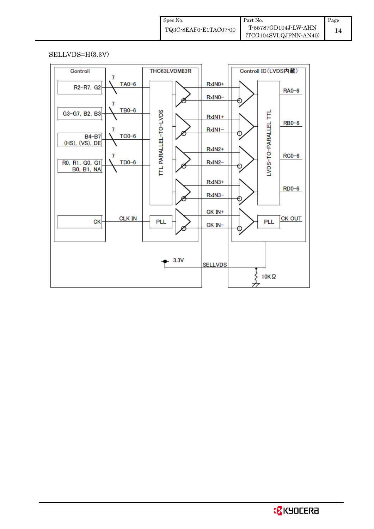| Spec No.              | Part No.              | Page |
|-----------------------|-----------------------|------|
| TQ3C-8EAF0-E1TAC07-00 | T-55787GD104J-LW-AHN  |      |
|                       | (TCG104SVLQJPNN-AN40) |      |

SELLVDS=H(3.3V)

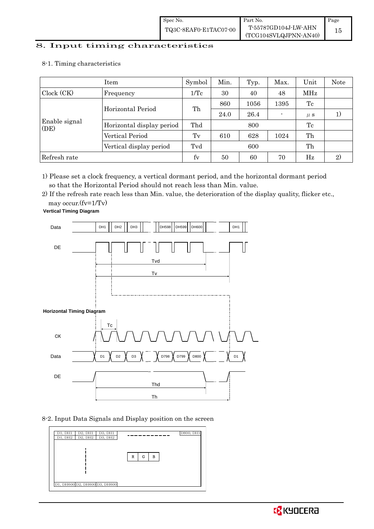# 8. Input timing characteristics  $\overline{\phantom{a}}$

8-1. Timing characteristics

|                       | Item                      | Symbol          | Min. | Typ. | Max. | Unit    | Note |
|-----------------------|---------------------------|-----------------|------|------|------|---------|------|
| Clock (CK)            | Frequency                 | $1/\mathrm{Tc}$ | 30   | 40   | 48   | MHz     |      |
|                       |                           |                 | 860  | 1056 | 1395 | Tc      |      |
|                       | Horizontal Period         | Th              | 24.0 | 26.4 |      | $\mu$ s |      |
| Enable signal<br>(DE) | Horizontal display period | Thd             |      | 800  |      | Tc      |      |
|                       | Vertical Period           | $T_{V}$         | 610  | 628  | 1024 | Th      |      |
|                       | Vertical display period   | Tvd             |      | 600  |      | Th      |      |
| Refresh rate          |                           | fy              | 50   | 60   | 70   | Hz      | 2)   |

1) Please set a clock frequency, a vertical dormant period, and the horizontal dormant period so that the Horizontal Period should not reach less than Min. value.

2) If the refresh rate reach less than Min. value, the deterioration of the display quality, flicker etc., may occur.(fv=1/Tv)

**Vertical Timing Diagram**



8-2. Input Data Signals and Display position on the screen

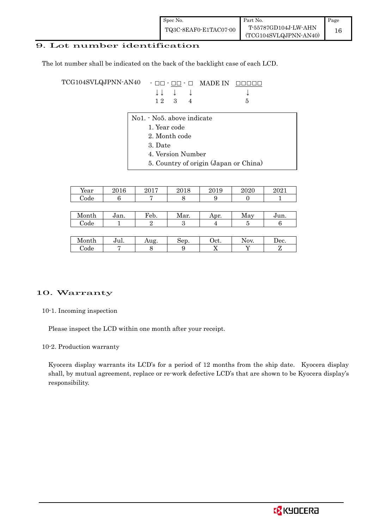| Spec No.              | Part No.                                        | Page |
|-----------------------|-------------------------------------------------|------|
| TQ3C-8EAF0-E1TAC07-00 | T-55787GD104J-LW-AHN<br>$(TCG104SVLQJPNN-AN40)$ | 16   |

### 9. Lot number identification

The lot number shall be indicated on the back of the backlight case of each LCD.

TCG104SVLQJPNN-AN40 - □□ - □□ - □ MADE IN □□□□□ ↓ ↓ ↓ ↓ ↓  $1 2 3 4 5$ 

- No1. No5. above indicate
	- 1. Year code
		- 2. Month code
		- 3. Date
		- 4. Version Number
		- 5. Country of origin (Japan or China)

| T<br>Year     | 2016 | 9017<br>∠∪⊥ | 2018 | 2019 | 2020 | 2021 |
|---------------|------|-------------|------|------|------|------|
| $\bigcirc$ de |      |             |      |      |      |      |

| Month             | Jan. | Feb. | Mar. | Apr. | May | Jun. |
|-------------------|------|------|------|------|-----|------|
| ∼<br><i>C</i> ode |      |      | e.   |      |     |      |
|                   |      |      |      |      |     |      |

| IV.<br>.ont.h<br><b>OITPIT</b> | <b>TT</b><br>uı. | 110<br>Aug | $n \alpha r$<br>~~~~ | 1 <sub>0</sub><br>JCL. | ΩV<br>$\cdot$ . $\cdot$ . | Dec. |
|--------------------------------|------------------|------------|----------------------|------------------------|---------------------------|------|
| nde                            |                  |            |                      | . .                    |                           |      |

#### 10. Warranty

10-1. Incoming inspection

Please inspect the LCD within one month after your receipt.

10-2. Production warranty

 Kyocera display warrants its LCD's for a period of 12 months from the ship date. Kyocera display shall, by mutual agreement, replace or re-work defective LCD's that are shown to be Kyocera display's responsibility.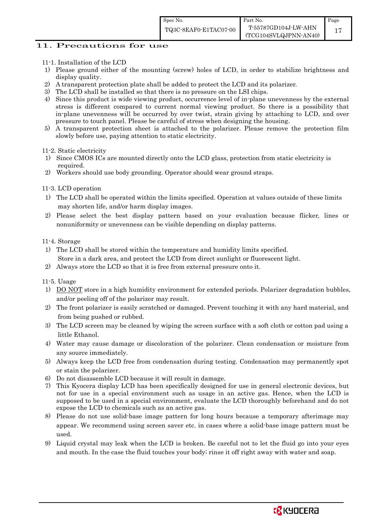#### 11. Precautions for use

- 11-1. Installation of the LCD
- 1) Please ground either of the mounting (screw) holes of LCD, in order to stabilize brightness and display quality.
- 2) A transparent protection plate shall be added to protect the LCD and its polarizer.
- 3) The LCD shall be installed so that there is no pressure on the LSI chips.
- 4) Since this product is wide viewing product, occurrence level of in-plane unevenness by the external stress is different compared to current normal viewing product. So there is a possibility that in-plane unevenness will be occurred by over twist, strain giving by attaching to LCD, and over pressure to touch panel. Please be careful of stress when designing the housing.
- 5) A transparent protection sheet is attached to the polarizer. Please remove the protection film slowly before use, paying attention to static electricity.

11-2. Static electricity

- 1) Since CMOS ICs are mounted directly onto the LCD glass, protection from static electricity is required.
- 2) Workers should use body grounding. Operator should wear ground straps.

11-3. LCD operation

- 1) The LCD shall be operated within the limits specified. Operation at values outside of these limits may shorten life, and/or harm display images.
- 2) Please select the best display pattern based on your evaluation because flicker, lines or nonuniformity or unevenness can be visible depending on display patterns.

11-4. Storage

- 1) The LCD shall be stored within the temperature and humidity limits specified. Store in a dark area, and protect the LCD from direct sunlight or fluorescent light.
- 2) Always store the LCD so that it is free from external pressure onto it.

11-5. Usage

- 1) DO NOT store in a high humidity environment for extended periods. Polarizer degradation bubbles, and/or peeling off of the polarizer may result.
- 2) The front polarizer is easily scratched or damaged. Prevent touching it with any hard material, and from being pushed or rubbed.
- 3) The LCD screen may be cleaned by wiping the screen surface with a soft cloth or cotton pad using a little Ethanol.
- 4) Water may cause damage or discoloration of the polarizer. Clean condensation or moisture from any source immediately.
- 5) Always keep the LCD free from condensation during testing. Condensation may permanently spot or stain the polarizer.
- 6) Do not disassemble LCD because it will result in damage.
- 7) This Kyocera display LCD has been specifically designed for use in general electronic devices, but not for use in a special environment such as usage in an active gas. Hence, when the LCD is supposed to be used in a special environment, evaluate the LCD thoroughly beforehand and do not expose the LCD to chemicals such as an active gas.
- 8) Please do not use solid-base image pattern for long hours because a temporary afterimage may appear. We recommend using screen saver etc. in cases where a solid-base image pattern must be used.
- 9) Liquid crystal may leak when the LCD is broken. Be careful not to let the fluid go into your eyes and mouth. In the case the fluid touches your body; rinse it off right away with water and soap.

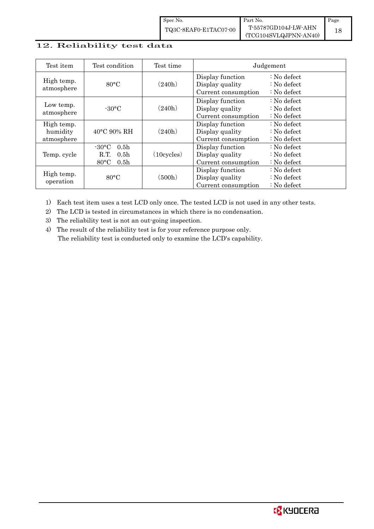| Spec No.              | Part No.                                      | Page |
|-----------------------|-----------------------------------------------|------|
| TQ3C-8EAF0-E1TAC07-00 | T-55787GD104J-LW-AHN<br>(TCG104SVLQJPNN-AN40) |      |

#### 12. Reliability test data

| Test item                            | Test condition                                                                                       | Test time            | Judgement                                                  |                                                                            |
|--------------------------------------|------------------------------------------------------------------------------------------------------|----------------------|------------------------------------------------------------|----------------------------------------------------------------------------|
| High temp.<br>atmosphere             | $80^{\circ}$ C                                                                                       | (240h)               | Display function<br>Display quality<br>Current consumption | $\therefore$ No defect<br>$\therefore$ No defect<br>$\therefore$ No defect |
| Low temp.<br>atmosphere              | $-30^{\circ}$ C                                                                                      | (240h)               | Display function<br>Display quality<br>Current consumption | $\therefore$ No defect<br>$\therefore$ No defect<br>$\therefore$ No defect |
| High temp.<br>humidity<br>atmosphere | $40^{\circ}$ C 90% RH                                                                                | (240h)               | Display function<br>Display quality<br>Current consumption | : No defect<br>$\therefore$ No defect<br>$\therefore$ No defect            |
| Temp. cycle                          | $-30\degree C$<br>0.5 <sub>h</sub><br>0.5 <sub>h</sub><br>R.T.<br>$80^{\circ}$ C<br>0.5 <sub>h</sub> | $(10 \text{cycles})$ | Display function<br>Display quality<br>Current consumption | : No defect<br>$\therefore$ No defect<br>$\therefore$ No defect            |
| High temp.<br>operation              | 80°C                                                                                                 | (500h)               | Display function<br>Display quality<br>Current consumption | $\therefore$ No defect<br>: No defect<br>: No defect                       |

1) Each test item uses a test LCD only once. The tested LCD is not used in any other tests.

2) The LCD is tested in circumstances in which there is no condensation.

3) The reliability test is not an out-going inspection.

4) The result of the reliability test is for your reference purpose only. The reliability test is conducted only to examine the LCD's capability.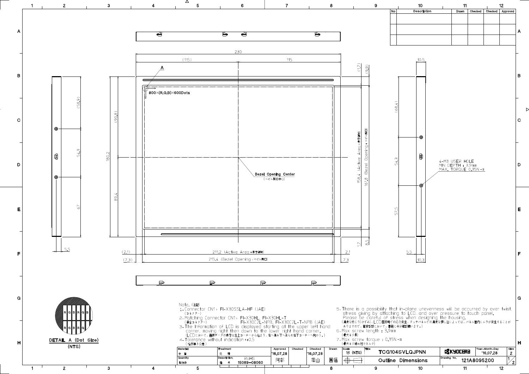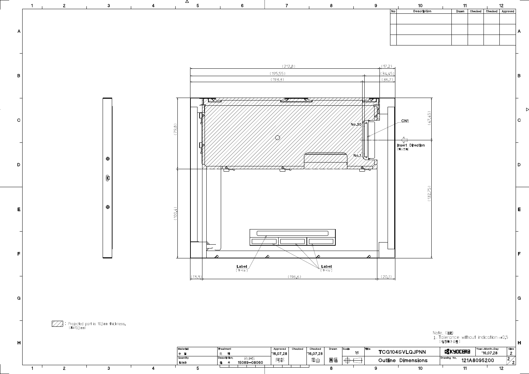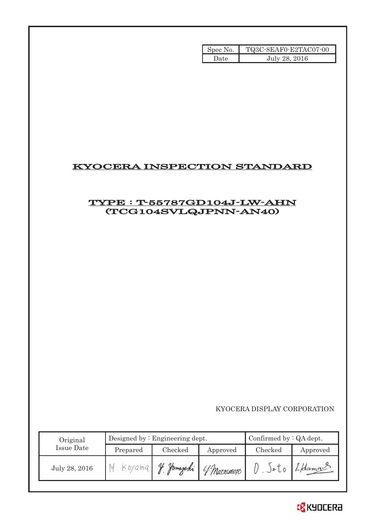| Spec No. | TQ3C-8EAF0-E2TAC07-00 |
|----------|-----------------------|
| Date     | July 28, 2016         |

# KYOCERA INSPECTION STANDARD

# TYPE : T-55787GD104J-LW-AHN (TCG104SVLQJPNN-AN40)

KYOCERA DISPLAY CORPORATION

| Original      | Designed by $:$ Engineering dept. |          |             | Confirmed by $:QA$ dept. |          |
|---------------|-----------------------------------|----------|-------------|--------------------------|----------|
| Issue Date    | Prepared                          | Checked  | Approved    | Checked                  | Approved |
| July 28, 2016 | Koyama                            | Hamazaki | 4 Matximoto | JøU0                     | 1-Hama   |

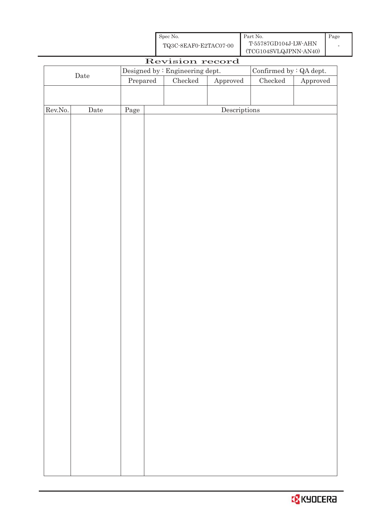| Spec No.              | Part No.              | Page |
|-----------------------|-----------------------|------|
| TQ3C-8EAF0-E2TAC07-00 | T-55787GD104J-LW-AHN  |      |
|                       | (TCG104SVLQJPNN-AN40) |      |

| $(1001010)$ $-10001$<br>Revision record |      |                                  |  |                                 |                                      |                                |          |
|-----------------------------------------|------|----------------------------------|--|---------------------------------|--------------------------------------|--------------------------------|----------|
| $\rm{Date}$                             |      |                                  |  | Designed by : Engineering dept. |                                      | Confirmed by $\colon$ QA dept. |          |
|                                         |      | $\ensuremath{\mathrm{Prepared}}$ |  | ${\it Checked}$                 | Approved                             | ${\it Checked}$                | Approved |
|                                         |      |                                  |  |                                 |                                      |                                |          |
|                                         |      |                                  |  |                                 |                                      |                                |          |
| Rev.No.                                 | Date | Page                             |  |                                 | $\label{eq:2} \textbf{Descriptions}$ |                                |          |
|                                         |      |                                  |  |                                 |                                      |                                |          |
|                                         |      |                                  |  |                                 |                                      |                                |          |
|                                         |      |                                  |  |                                 |                                      |                                |          |
|                                         |      |                                  |  |                                 |                                      |                                |          |
|                                         |      |                                  |  |                                 |                                      |                                |          |
|                                         |      |                                  |  |                                 |                                      |                                |          |
|                                         |      |                                  |  |                                 |                                      |                                |          |
|                                         |      |                                  |  |                                 |                                      |                                |          |
|                                         |      |                                  |  |                                 |                                      |                                |          |
|                                         |      |                                  |  |                                 |                                      |                                |          |
|                                         |      |                                  |  |                                 |                                      |                                |          |
|                                         |      |                                  |  |                                 |                                      |                                |          |
|                                         |      |                                  |  |                                 |                                      |                                |          |
|                                         |      |                                  |  |                                 |                                      |                                |          |
|                                         |      |                                  |  |                                 |                                      |                                |          |
|                                         |      |                                  |  |                                 |                                      |                                |          |
|                                         |      |                                  |  |                                 |                                      |                                |          |
|                                         |      |                                  |  |                                 |                                      |                                |          |
|                                         |      |                                  |  |                                 |                                      |                                |          |
|                                         |      |                                  |  |                                 |                                      |                                |          |
|                                         |      |                                  |  |                                 |                                      |                                |          |
|                                         |      |                                  |  |                                 |                                      |                                |          |
|                                         |      |                                  |  |                                 |                                      |                                |          |
|                                         |      |                                  |  |                                 |                                      |                                |          |
|                                         |      |                                  |  |                                 |                                      |                                |          |
|                                         |      |                                  |  |                                 |                                      |                                |          |
|                                         |      |                                  |  |                                 |                                      |                                |          |
|                                         |      |                                  |  |                                 |                                      |                                |          |
|                                         |      |                                  |  |                                 |                                      |                                |          |
|                                         |      |                                  |  |                                 |                                      |                                |          |
|                                         |      |                                  |  |                                 |                                      |                                |          |
|                                         |      |                                  |  |                                 |                                      |                                |          |
|                                         |      |                                  |  |                                 |                                      |                                |          |
|                                         |      |                                  |  |                                 |                                      |                                |          |
|                                         |      |                                  |  |                                 |                                      |                                |          |
|                                         |      |                                  |  |                                 |                                      |                                |          |
|                                         |      |                                  |  |                                 |                                      |                                |          |
|                                         |      |                                  |  |                                 |                                      |                                |          |

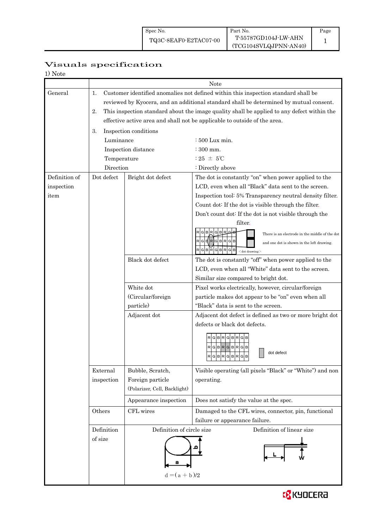## Visuals specification

1) Note

|               | Note                                                                                             |                              |                                                                                           |  |  |
|---------------|--------------------------------------------------------------------------------------------------|------------------------------|-------------------------------------------------------------------------------------------|--|--|
| General       | Customer identified anomalies not defined within this inspection standard shall be<br>1.         |                              |                                                                                           |  |  |
|               | reviewed by Kyocera, and an additional standard shall be determined by mutual consent.           |                              |                                                                                           |  |  |
|               | 2.<br>This inspection standard about the image quality shall be applied to any defect within the |                              |                                                                                           |  |  |
|               |                                                                                                  |                              | effective active area and shall not be applicable to outside of the area.                 |  |  |
|               | 3.                                                                                               | Inspection conditions        |                                                                                           |  |  |
|               | Luminance                                                                                        |                              | $\div 500$ Lux min.                                                                       |  |  |
|               |                                                                                                  | Inspection distance          | $\div$ 300 mm.                                                                            |  |  |
|               | Temperature                                                                                      |                              | : 25 $\pm$ 5°C                                                                            |  |  |
|               | Direction                                                                                        |                              | : Directly above                                                                          |  |  |
| Definition of | Dot defect                                                                                       | Bright dot defect            | The dot is constantly "on" when power applied to the                                      |  |  |
| inspection    |                                                                                                  |                              | LCD, even when all "Black" data sent to the screen.                                       |  |  |
| item          |                                                                                                  |                              | Inspection tool: 5% Transparency neutral density filter.                                  |  |  |
|               |                                                                                                  |                              | Count dot: If the dot is visible through the filter.                                      |  |  |
|               |                                                                                                  |                              | Don't count dot: If the dot is not visible through the                                    |  |  |
|               |                                                                                                  |                              | filter.                                                                                   |  |  |
|               |                                                                                                  |                              | There is an electrode in the middle of the dot                                            |  |  |
|               |                                                                                                  |                              | G E  R G B R G B<br>$\mathsf{R}$<br>and one dot is shown in the left drawing.             |  |  |
|               |                                                                                                  |                              | GB<br>$<$ dot drawing $>$                                                                 |  |  |
|               |                                                                                                  | Black dot defect             | The dot is constantly "off" when power applied to the                                     |  |  |
|               |                                                                                                  |                              | LCD, even when all "White" data sent to the screen.                                       |  |  |
|               |                                                                                                  |                              | Similar size compared to bright dot.                                                      |  |  |
|               |                                                                                                  | White dot                    | Pixel works electrically, however, circular/foreign                                       |  |  |
|               |                                                                                                  | (Circular/foreign            | particle makes dot appear to be "on" even when all                                        |  |  |
|               |                                                                                                  | particle)                    | "Black" data is sent to the screen.                                                       |  |  |
|               |                                                                                                  | Adjacent dot                 | Adjacent dot defect is defined as two or more bright dot<br>defects or black dot defects. |  |  |
|               |                                                                                                  |                              |                                                                                           |  |  |
|               |                                                                                                  |                              | $R$ $G$ $B$ $R$ $G$ $B$ $R$ $G$ $B$                                                       |  |  |
|               |                                                                                                  |                              | RGBRGBRGB<br>dot defect                                                                   |  |  |
|               |                                                                                                  |                              | RGBRGBR<br>GB<br>مساحل والمساحل والمرابط                                                  |  |  |
|               | External                                                                                         | Bubble, Scratch,             | Visible operating (all pixels "Black" or "White") and non                                 |  |  |
|               | inspection                                                                                       | Foreign particle             | operating.                                                                                |  |  |
|               |                                                                                                  | (Polarizer, Cell, Backlight) |                                                                                           |  |  |
|               |                                                                                                  | Appearance inspection        | Does not satisfy the value at the spec.                                                   |  |  |
|               | Others                                                                                           | CFL wires                    | Damaged to the CFL wires, connector, pin, functional                                      |  |  |
|               |                                                                                                  |                              | failure or appearance failure.                                                            |  |  |
|               | Definition                                                                                       |                              | Definition of circle size<br>Definition of linear size                                    |  |  |
|               | of size                                                                                          |                              |                                                                                           |  |  |
|               |                                                                                                  |                              |                                                                                           |  |  |
|               |                                                                                                  |                              |                                                                                           |  |  |
|               |                                                                                                  |                              |                                                                                           |  |  |
|               |                                                                                                  | $d = (a + b)/2$              |                                                                                           |  |  |